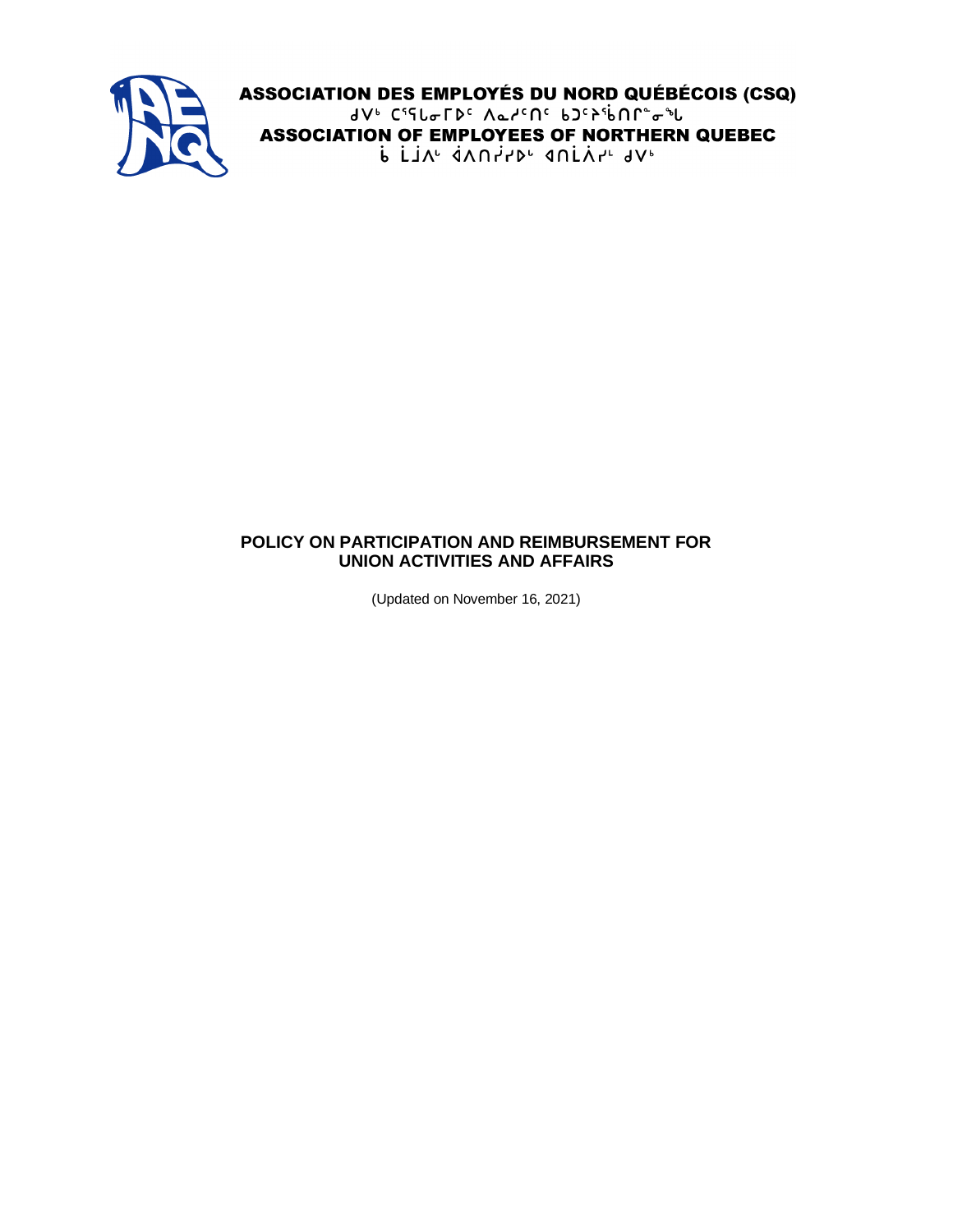

ASSOCIATION DES EMPLOYÉS DU NORD QUÉBÉCOIS (CSQ) dV<sup>6</sup> CSSL&FDC AarCNC bJCPSbNP"&"L **ASSOCIATION OF EMPLOYEES OF NORTHERN QUEBEC** P FIV, AVULS, AUFYUVP

#### **POLICY ON PARTICIPATION AND REIMBURSEMENT FOR UNION ACTIVITIES AND AFFAIRS**

(Updated on November 16, 2021)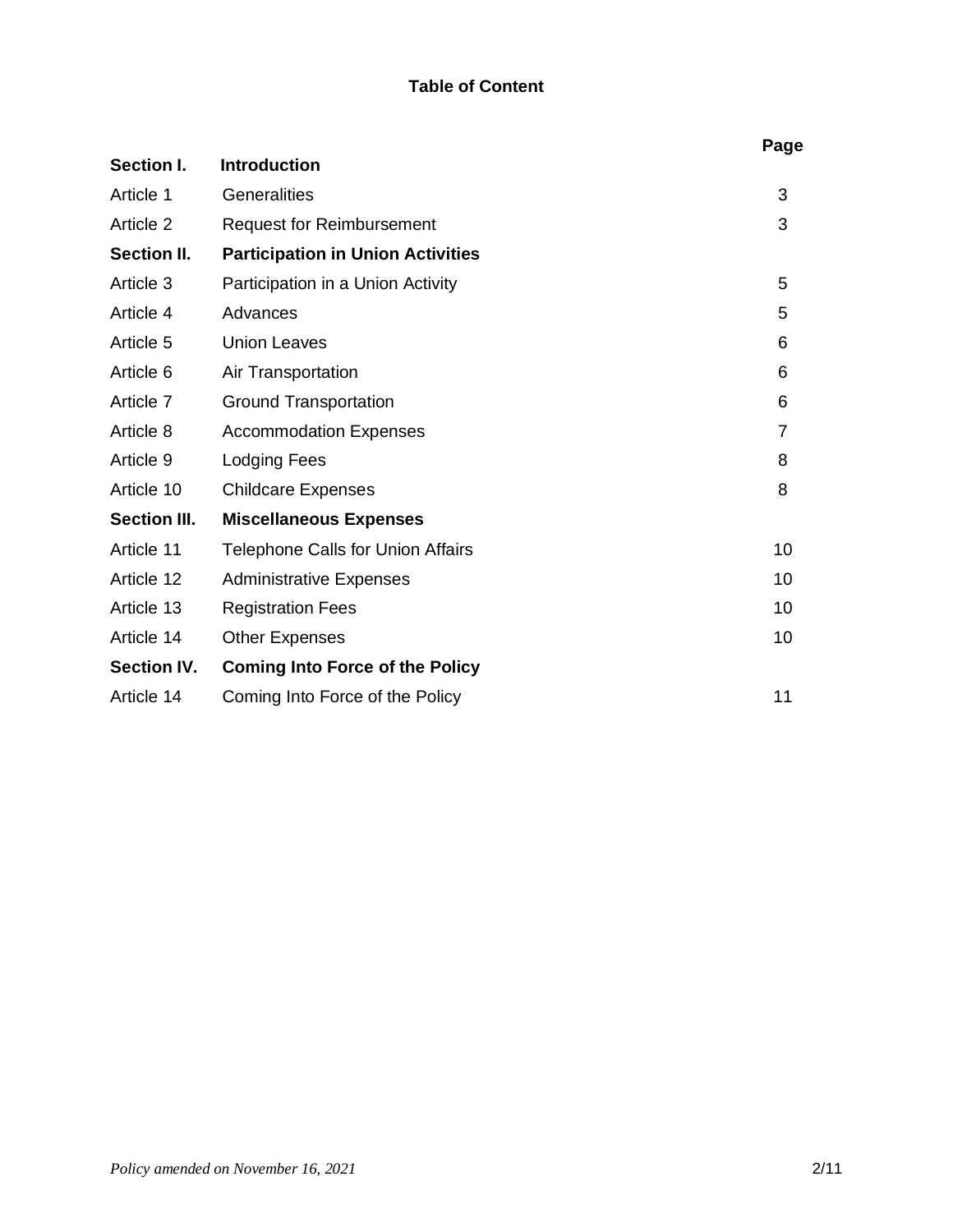# **Table of Content**

|                     |                                          | Page           |
|---------------------|------------------------------------------|----------------|
| Section I.          | <b>Introduction</b>                      |                |
| Article 1           | Generalities                             | 3              |
| Article 2           | <b>Request for Reimbursement</b>         | 3              |
| <b>Section II.</b>  | <b>Participation in Union Activities</b> |                |
| Article 3           | Participation in a Union Activity        | 5              |
| Article 4           | Advances                                 | 5              |
| Article 5           | <b>Union Leaves</b>                      | 6              |
| Article 6           | Air Transportation                       | 6              |
| Article 7           | <b>Ground Transportation</b>             | 6              |
| Article 8           | <b>Accommodation Expenses</b>            | $\overline{7}$ |
| Article 9           | <b>Lodging Fees</b>                      | 8              |
| Article 10          | <b>Childcare Expenses</b>                | 8              |
| <b>Section III.</b> | <b>Miscellaneous Expenses</b>            |                |
| Article 11          | <b>Telephone Calls for Union Affairs</b> | 10             |
| Article 12          | <b>Administrative Expenses</b>           | 10             |
| Article 13          | <b>Registration Fees</b>                 | 10             |
| Article 14          | <b>Other Expenses</b>                    | 10             |
| <b>Section IV.</b>  | <b>Coming Into Force of the Policy</b>   |                |
| Article 14          | Coming Into Force of the Policy          | 11             |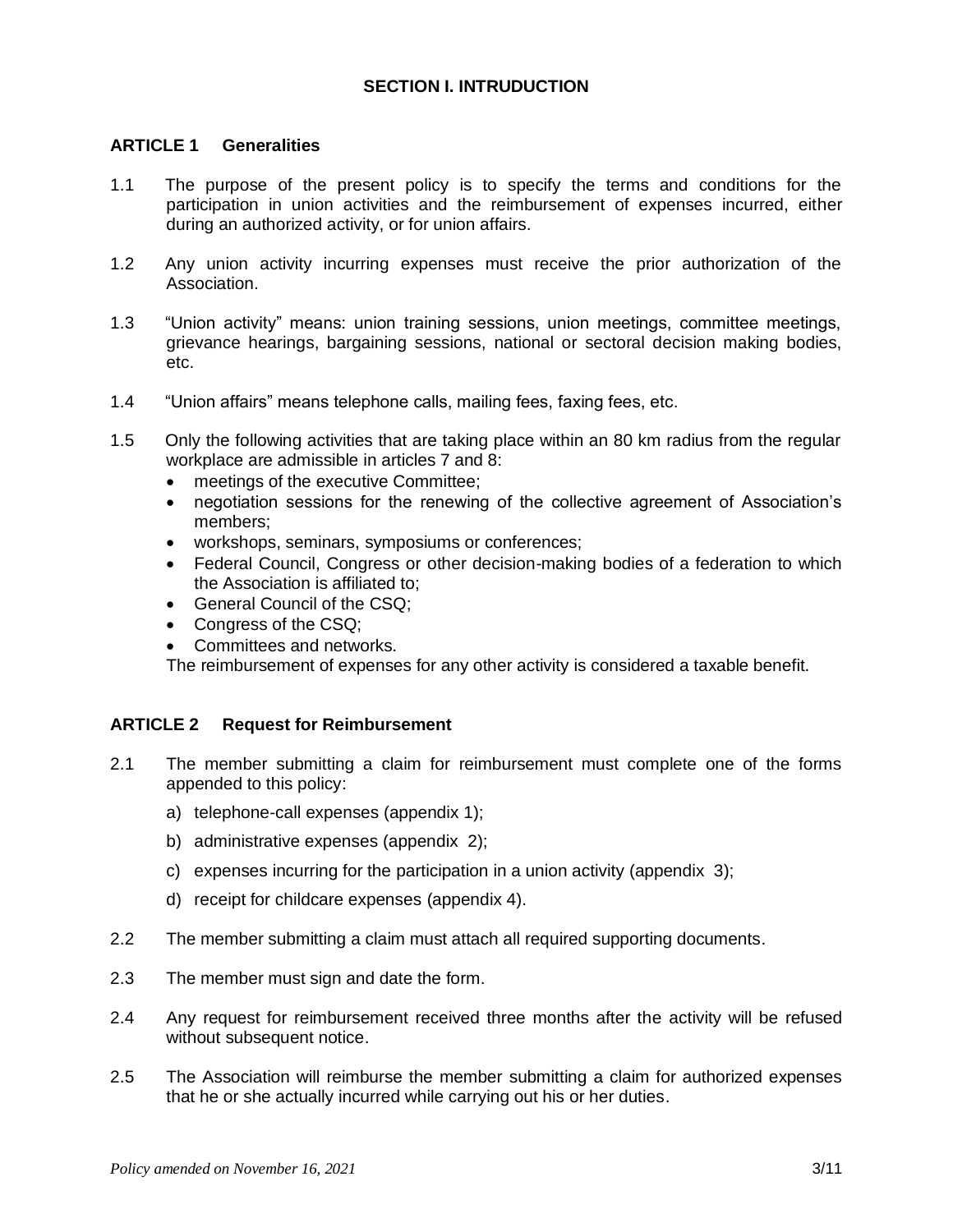## **SECTION I. INTRUDUCTION**

### **ARTICLE 1 Generalities**

- 1.1 The purpose of the present policy is to specify the terms and conditions for the participation in union activities and the reimbursement of expenses incurred, either during an authorized activity, or for union affairs.
- 1.2 Any union activity incurring expenses must receive the prior authorization of the Association.
- 1.3 "Union activity" means: union training sessions, union meetings, committee meetings, grievance hearings, bargaining sessions, national or sectoral decision making bodies, etc.
- 1.4 "Union affairs" means telephone calls, mailing fees, faxing fees, etc.
- 1.5 Only the following activities that are taking place within an 80 km radius from the regular workplace are admissible in articles 7 and 8:
	- meetings of the executive Committee;
	- negotiation sessions for the renewing of the collective agreement of Association's members;
	- workshops, seminars, symposiums or conferences;
	- Federal Council, Congress or other decision-making bodies of a federation to which the Association is affiliated to;
	- General Council of the CSQ;
	- Congress of the CSQ;
	- Committees and networks.

The reimbursement of expenses for any other activity is considered a taxable benefit.

#### **ARTICLE 2 Request for Reimbursement**

- 2.1 The member submitting a claim for reimbursement must complete one of the forms appended to this policy:
	- a) telephone-call expenses (appendix 1);
	- b) administrative expenses (appendix 2);
	- c) expenses incurring for the participation in a union activity (appendix 3);
	- d) receipt for childcare expenses (appendix 4).
- 2.2 The member submitting a claim must attach all required supporting documents.
- 2.3 The member must sign and date the form.
- 2.4 Any request for reimbursement received three months after the activity will be refused without subsequent notice.
- 2.5 The Association will reimburse the member submitting a claim for authorized expenses that he or she actually incurred while carrying out his or her duties.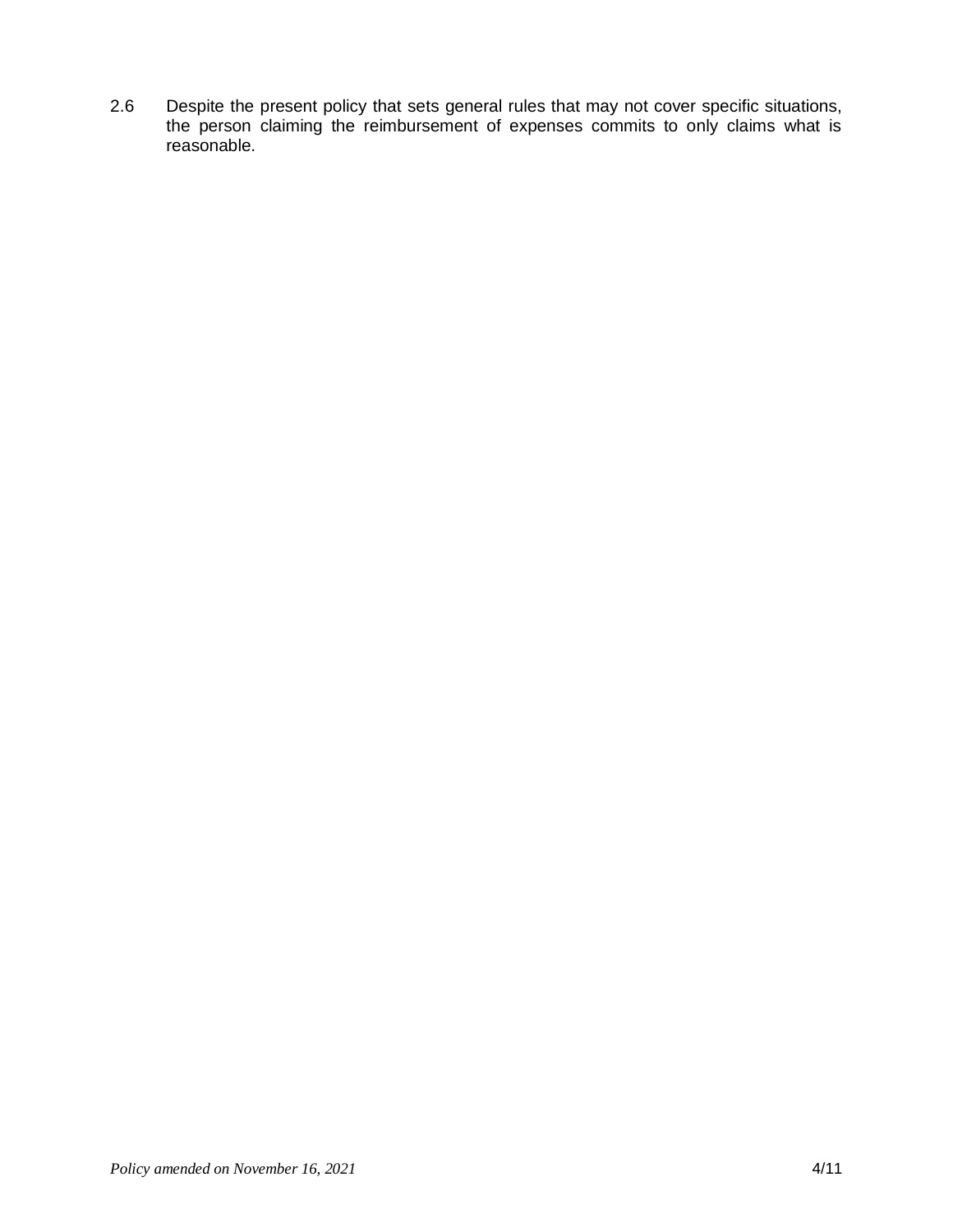2.6 Despite the present policy that sets general rules that may not cover specific situations, the person claiming the reimbursement of expenses commits to only claims what is reasonable.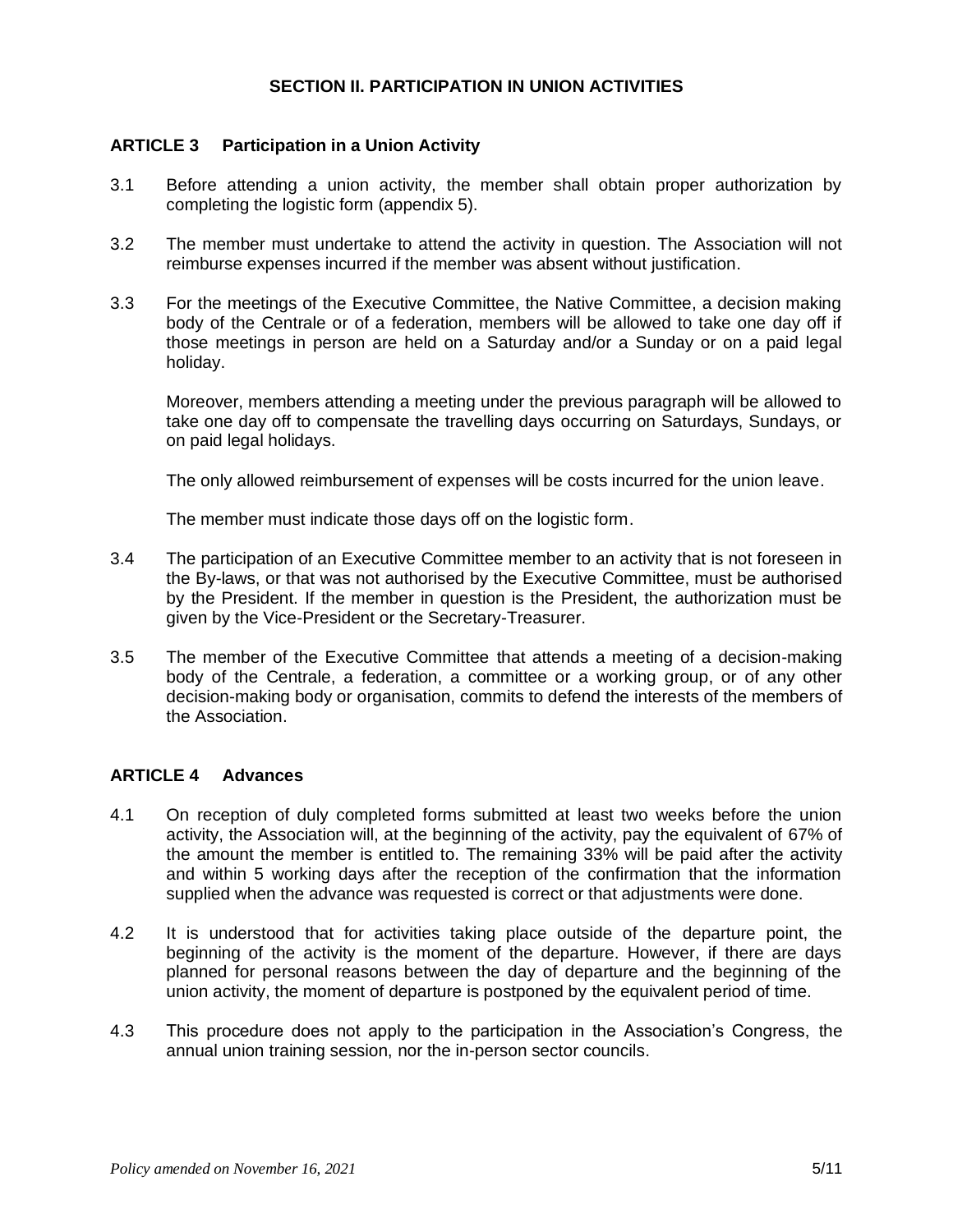## **SECTION II. PARTICIPATION IN UNION ACTIVITIES**

## **ARTICLE 3 Participation in a Union Activity**

- 3.1 Before attending a union activity, the member shall obtain proper authorization by completing the logistic form (appendix 5).
- 3.2 The member must undertake to attend the activity in question. The Association will not reimburse expenses incurred if the member was absent without justification.
- 3.3 For the meetings of the Executive Committee, the Native Committee, a decision making body of the Centrale or of a federation, members will be allowed to take one day off if those meetings in person are held on a Saturday and/or a Sunday or on a paid legal holiday.

Moreover, members attending a meeting under the previous paragraph will be allowed to take one day off to compensate the travelling days occurring on Saturdays, Sundays, or on paid legal holidays.

The only allowed reimbursement of expenses will be costs incurred for the union leave.

The member must indicate those days off on the logistic form.

- 3.4 The participation of an Executive Committee member to an activity that is not foreseen in the By-laws, or that was not authorised by the Executive Committee, must be authorised by the President. If the member in question is the President, the authorization must be given by the Vice-President or the Secretary-Treasurer.
- 3.5 The member of the Executive Committee that attends a meeting of a decision-making body of the Centrale, a federation, a committee or a working group, or of any other decision-making body or organisation, commits to defend the interests of the members of the Association.

## **ARTICLE 4 Advances**

- 4.1 On reception of duly completed forms submitted at least two weeks before the union activity, the Association will, at the beginning of the activity, pay the equivalent of 67% of the amount the member is entitled to. The remaining 33% will be paid after the activity and within 5 working days after the reception of the confirmation that the information supplied when the advance was requested is correct or that adjustments were done.
- 4.2 It is understood that for activities taking place outside of the departure point, the beginning of the activity is the moment of the departure. However, if there are days planned for personal reasons between the day of departure and the beginning of the union activity, the moment of departure is postponed by the equivalent period of time.
- 4.3 This procedure does not apply to the participation in the Association's Congress, the annual union training session, nor the in-person sector councils.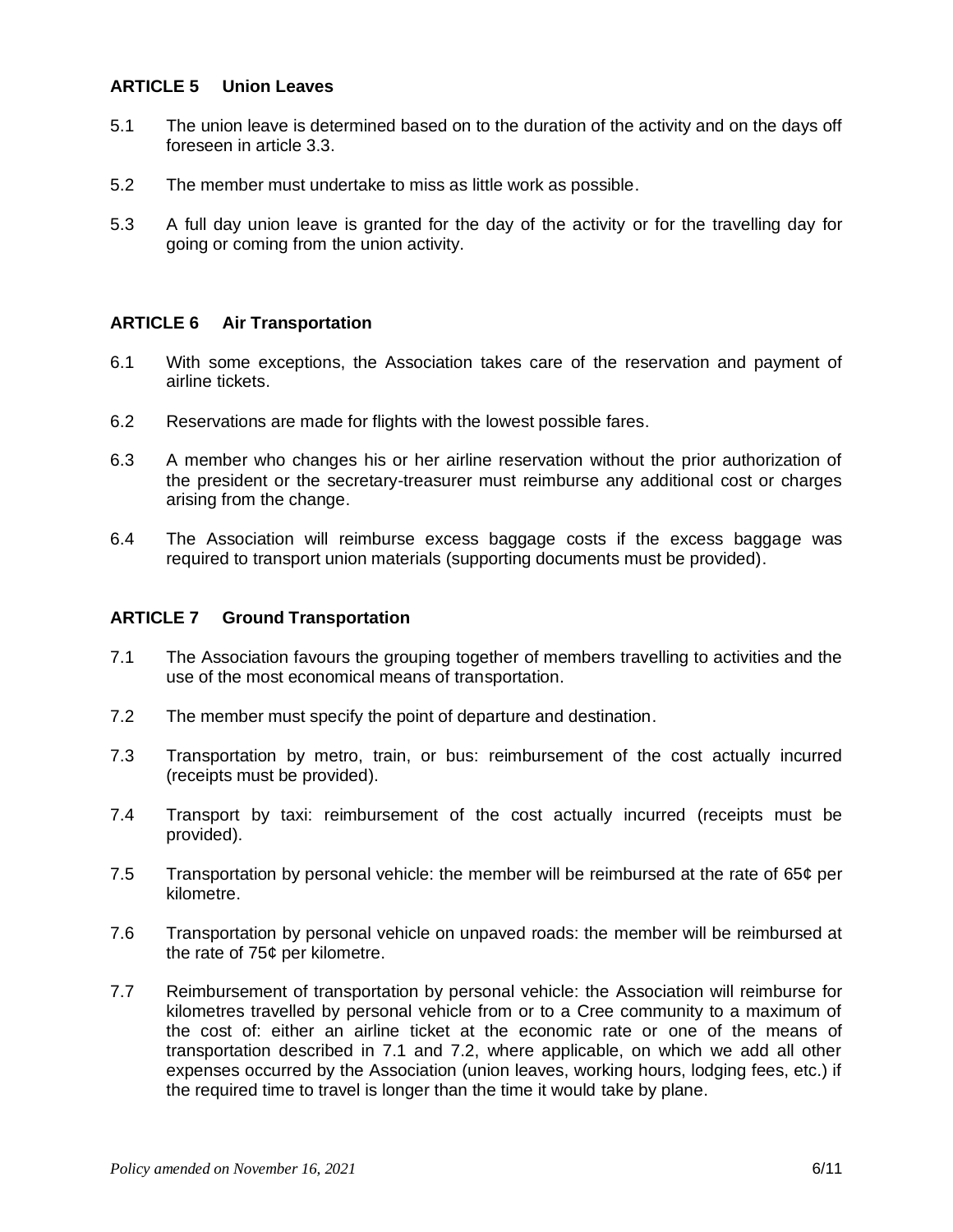#### **ARTICLE 5 Union Leaves**

- 5.1 The union leave is determined based on to the duration of the activity and on the days off foreseen in article 3.3.
- 5.2 The member must undertake to miss as little work as possible.
- 5.3 A full day union leave is granted for the day of the activity or for the travelling day for going or coming from the union activity.

#### **ARTICLE 6 Air Transportation**

- 6.1 With some exceptions, the Association takes care of the reservation and payment of airline tickets.
- 6.2 Reservations are made for flights with the lowest possible fares.
- 6.3 A member who changes his or her airline reservation without the prior authorization of the president or the secretary-treasurer must reimburse any additional cost or charges arising from the change.
- 6.4 The Association will reimburse excess baggage costs if the excess baggage was required to transport union materials (supporting documents must be provided).

#### **ARTICLE 7 Ground Transportation**

- 7.1 The Association favours the grouping together of members travelling to activities and the use of the most economical means of transportation.
- 7.2 The member must specify the point of departure and destination.
- 7.3 Transportation by metro, train, or bus: reimbursement of the cost actually incurred (receipts must be provided).
- 7.4 Transport by taxi: reimbursement of the cost actually incurred (receipts must be provided).
- 7.5 Transportation by personal vehicle: the member will be reimbursed at the rate of  $65¢$  per kilometre.
- 7.6 Transportation by personal vehicle on unpaved roads: the member will be reimbursed at the rate of 75¢ per kilometre.
- 7.7 Reimbursement of transportation by personal vehicle: the Association will reimburse for kilometres travelled by personal vehicle from or to a Cree community to a maximum of the cost of: either an airline ticket at the economic rate or one of the means of transportation described in 7.1 and 7.2, where applicable, on which we add all other expenses occurred by the Association (union leaves, working hours, lodging fees, etc.) if the required time to travel is longer than the time it would take by plane.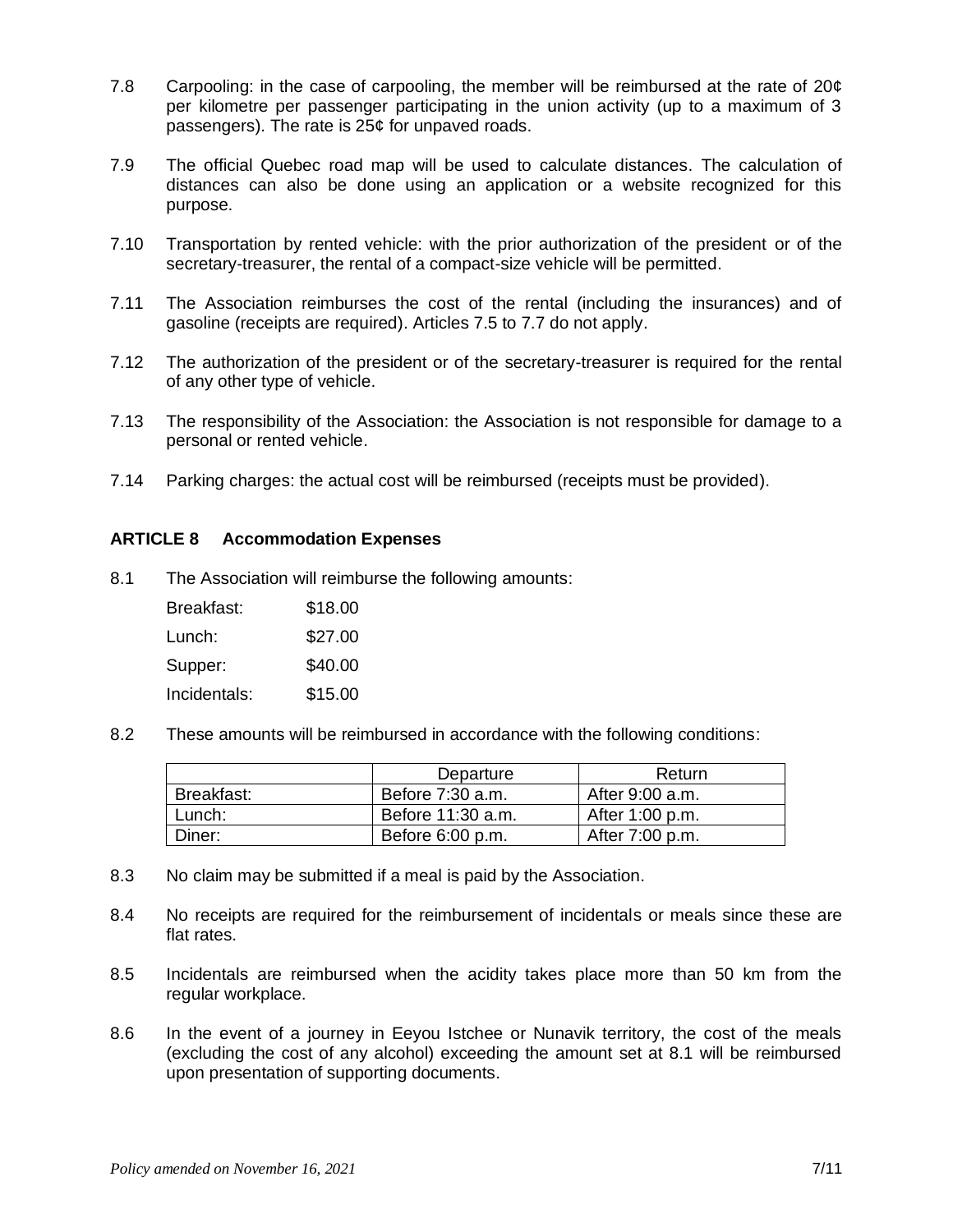- 7.8 Carpooling: in the case of carpooling, the member will be reimbursed at the rate of 20¢ per kilometre per passenger participating in the union activity (up to a maximum of 3 passengers). The rate is 25¢ for unpaved roads.
- 7.9 The official Quebec road map will be used to calculate distances. The calculation of distances can also be done using an application or a website recognized for this purpose.
- 7.10 Transportation by rented vehicle: with the prior authorization of the president or of the secretary-treasurer, the rental of a compact-size vehicle will be permitted.
- 7.11 The Association reimburses the cost of the rental (including the insurances) and of gasoline (receipts are required). Articles 7.5 to 7.7 do not apply.
- 7.12 The authorization of the president or of the secretary-treasurer is required for the rental of any other type of vehicle.
- 7.13 The responsibility of the Association: the Association is not responsible for damage to a personal or rented vehicle.
- 7.14 Parking charges: the actual cost will be reimbursed (receipts must be provided).

#### **ARTICLE 8 Accommodation Expenses**

8.1 The Association will reimburse the following amounts:

| Breakfast:   | \$18.00 |
|--------------|---------|
| Lunch:       | \$27.00 |
| Supper:      | \$40.00 |
| Incidentals: | \$15.00 |

8.2 These amounts will be reimbursed in accordance with the following conditions:

|            | Departure         | Return          |
|------------|-------------------|-----------------|
| Breakfast: | Before 7:30 a.m.  | After 9:00 a.m. |
| Lunch:     | Before 11:30 a.m. | After 1:00 p.m. |
| Diner:     | Before 6:00 p.m.  | After 7:00 p.m. |

- 8.3 No claim may be submitted if a meal is paid by the Association.
- 8.4 No receipts are required for the reimbursement of incidentals or meals since these are flat rates.
- 8.5 Incidentals are reimbursed when the acidity takes place more than 50 km from the regular workplace.
- 8.6 In the event of a journey in Eeyou Istchee or Nunavik territory, the cost of the meals (excluding the cost of any alcohol) exceeding the amount set at 8.1 will be reimbursed upon presentation of supporting documents.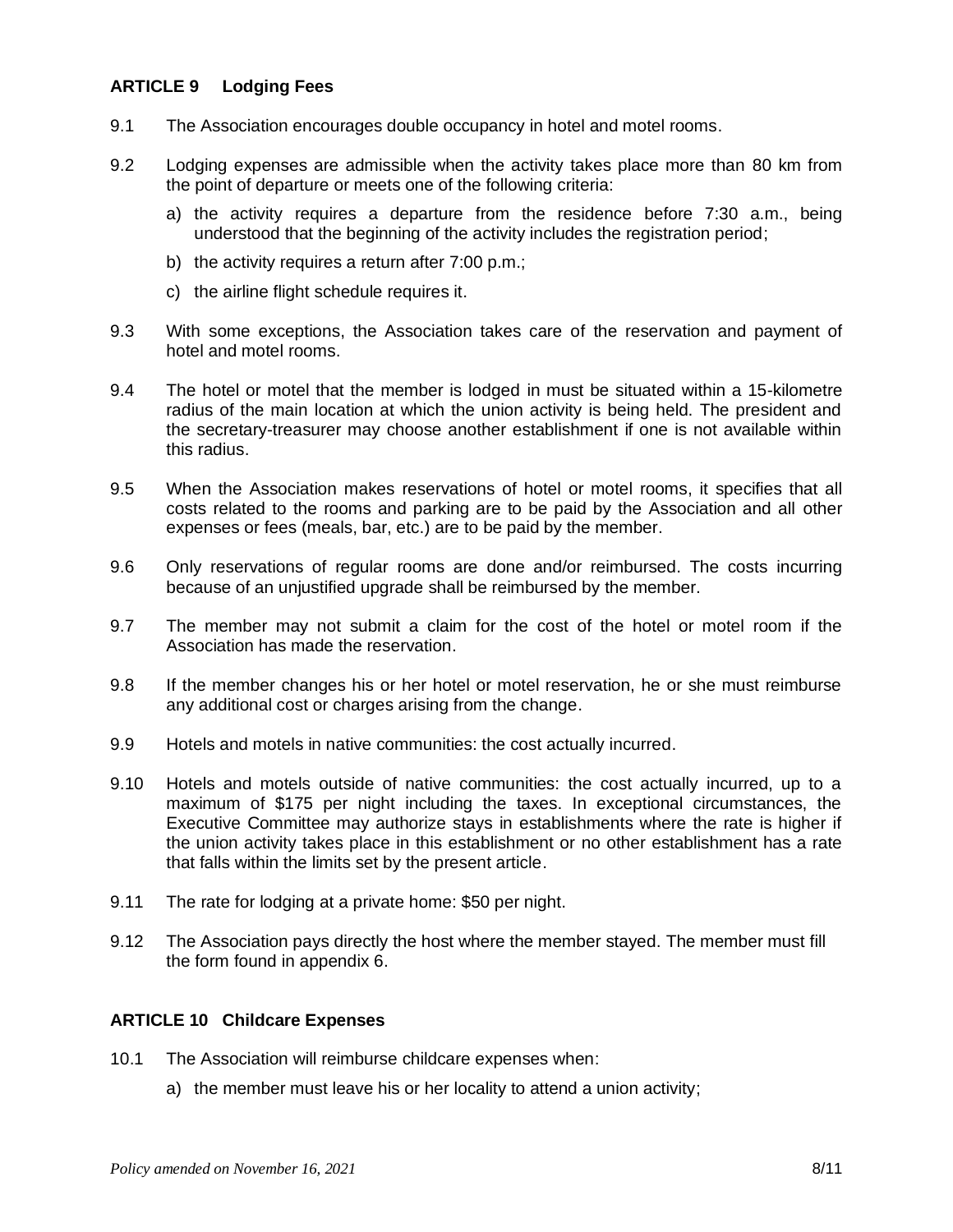# **ARTICLE 9 Lodging Fees**

- 9.1 The Association encourages double occupancy in hotel and motel rooms.
- 9.2 Lodging expenses are admissible when the activity takes place more than 80 km from the point of departure or meets one of the following criteria:
	- a) the activity requires a departure from the residence before 7:30 a.m., being understood that the beginning of the activity includes the registration period;
	- b) the activity requires a return after 7:00 p.m.;
	- c) the airline flight schedule requires it.
- 9.3 With some exceptions, the Association takes care of the reservation and payment of hotel and motel rooms.
- 9.4 The hotel or motel that the member is lodged in must be situated within a 15-kilometre radius of the main location at which the union activity is being held. The president and the secretary-treasurer may choose another establishment if one is not available within this radius.
- 9.5 When the Association makes reservations of hotel or motel rooms, it specifies that all costs related to the rooms and parking are to be paid by the Association and all other expenses or fees (meals, bar, etc.) are to be paid by the member.
- 9.6 Only reservations of regular rooms are done and/or reimbursed. The costs incurring because of an unjustified upgrade shall be reimbursed by the member.
- 9.7 The member may not submit a claim for the cost of the hotel or motel room if the Association has made the reservation.
- 9.8 If the member changes his or her hotel or motel reservation, he or she must reimburse any additional cost or charges arising from the change.
- 9.9 Hotels and motels in native communities: the cost actually incurred.
- 9.10 Hotels and motels outside of native communities: the cost actually incurred, up to a maximum of \$175 per night including the taxes. In exceptional circumstances, the Executive Committee may authorize stays in establishments where the rate is higher if the union activity takes place in this establishment or no other establishment has a rate that falls within the limits set by the present article.
- 9.11 The rate for lodging at a private home: \$50 per night.
- 9.12 The Association pays directly the host where the member stayed. The member must fill the form found in appendix 6.

#### **ARTICLE 10 Childcare Expenses**

- 10.1 The Association will reimburse childcare expenses when:
	- a) the member must leave his or her locality to attend a union activity;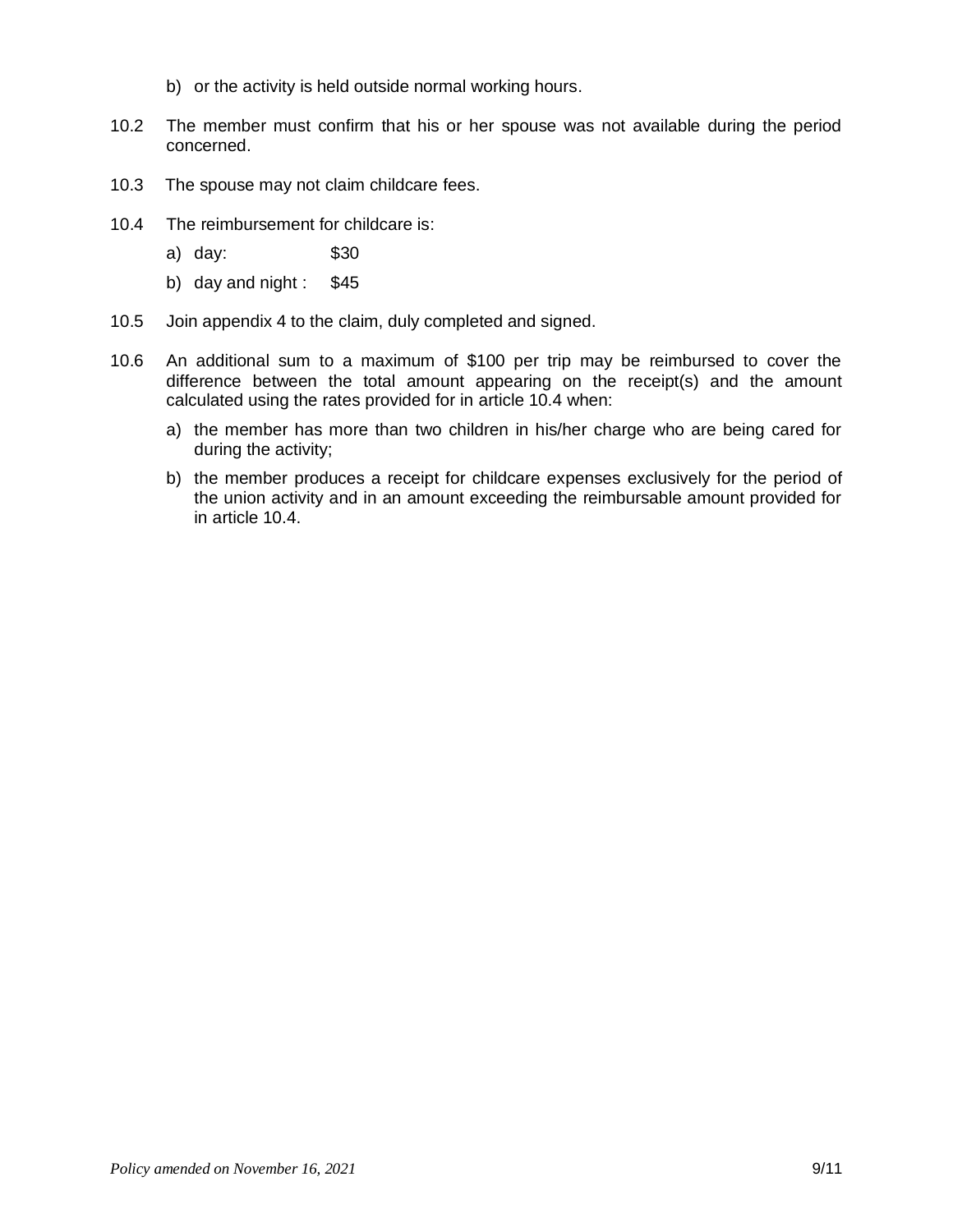- b) or the activity is held outside normal working hours.
- 10.2 The member must confirm that his or her spouse was not available during the period concerned.
- 10.3 The spouse may not claim childcare fees.
- 10.4 The reimbursement for childcare is:
	- a) day: \$30
	- b) day and night :  $$45$
- 10.5 Join appendix 4 to the claim, duly completed and signed.
- 10.6 An additional sum to a maximum of \$100 per trip may be reimbursed to cover the difference between the total amount appearing on the receipt(s) and the amount calculated using the rates provided for in article 10.4 when:
	- a) the member has more than two children in his/her charge who are being cared for during the activity;
	- b) the member produces a receipt for childcare expenses exclusively for the period of the union activity and in an amount exceeding the reimbursable amount provided for in article 10.4.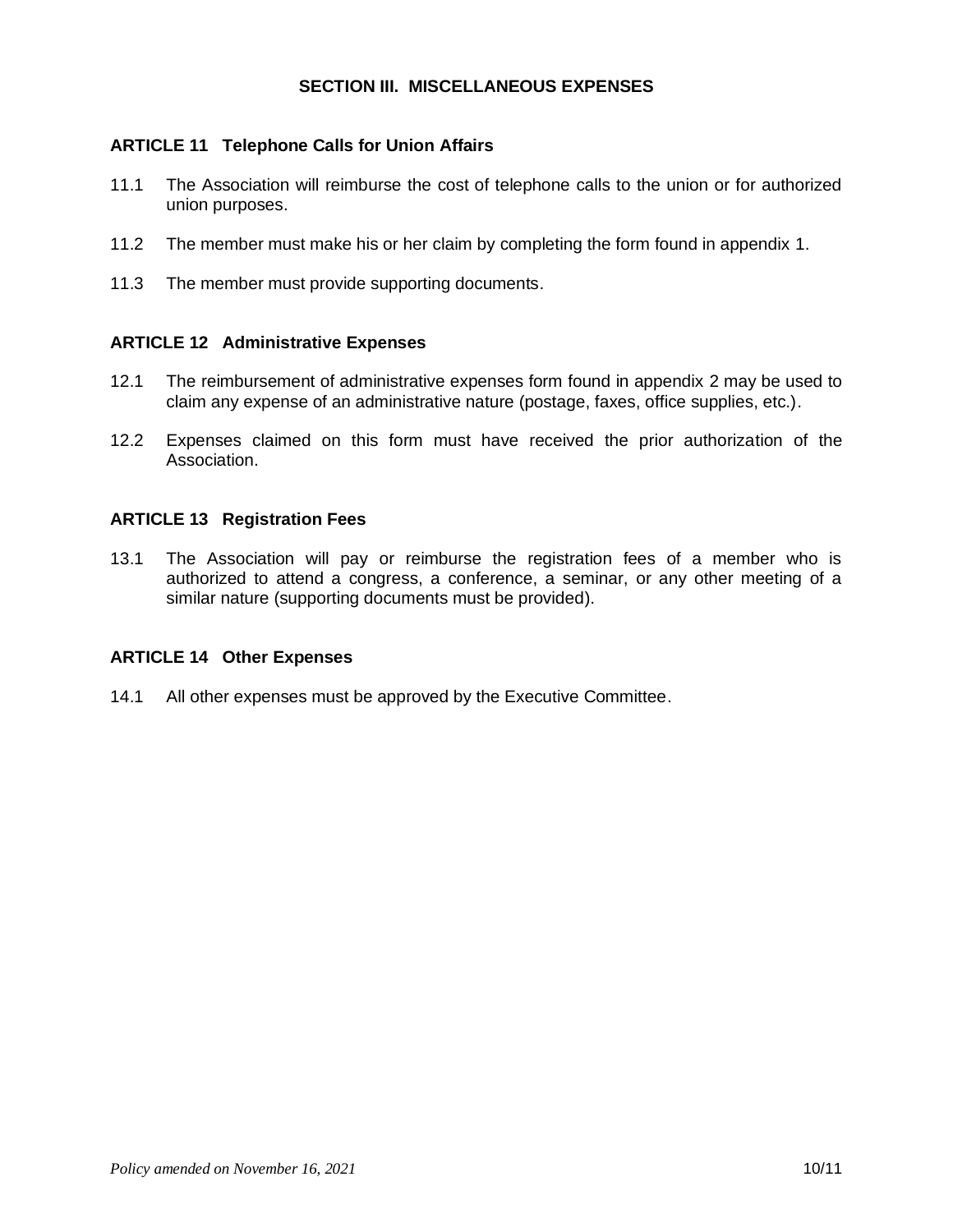### **SECTION III. MISCELLANEOUS EXPENSES**

### **ARTICLE 11 Telephone Calls for Union Affairs**

- 11.1 The Association will reimburse the cost of telephone calls to the union or for authorized union purposes.
- 11.2 The member must make his or her claim by completing the form found in appendix 1.
- 11.3 The member must provide supporting documents.

#### **ARTICLE 12 Administrative Expenses**

- 12.1 The reimbursement of administrative expenses form found in appendix 2 may be used to claim any expense of an administrative nature (postage, faxes, office supplies, etc.).
- 12.2 Expenses claimed on this form must have received the prior authorization of the Association.

#### **ARTICLE 13 Registration Fees**

13.1 The Association will pay or reimburse the registration fees of a member who is authorized to attend a congress, a conference, a seminar, or any other meeting of a similar nature (supporting documents must be provided).

#### **ARTICLE 14 Other Expenses**

14.1 All other expenses must be approved by the Executive Committee.